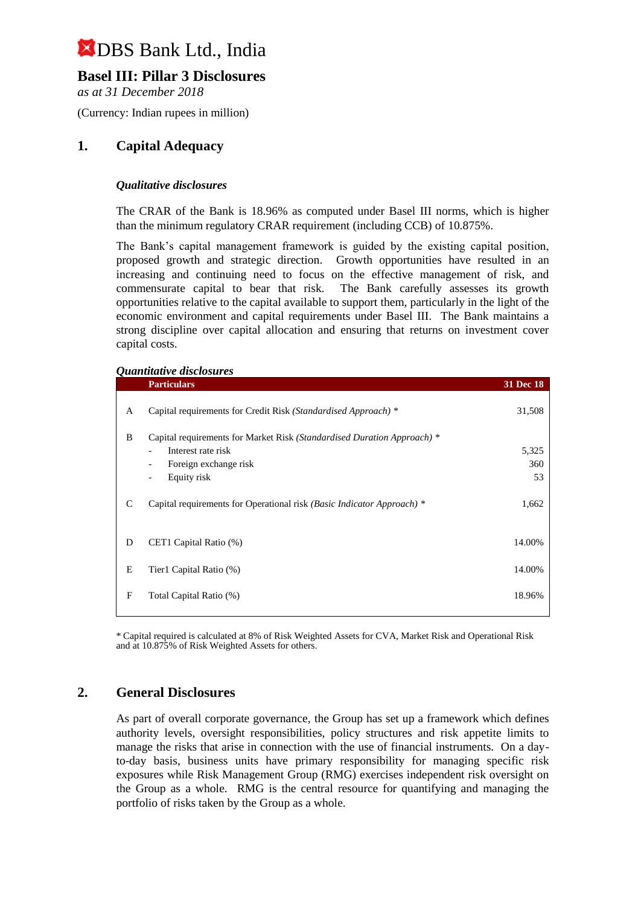## **Basel III: Pillar 3 Disclosures**

*as at 31 December 2018*

(Currency: Indian rupees in million)

### **1. Capital Adequacy**

#### *Qualitative disclosures*

The CRAR of the Bank is 18.96% as computed under Basel III norms, which is higher than the minimum regulatory CRAR requirement (including CCB) of 10.875%.

The Bank's capital management framework is guided by the existing capital position, proposed growth and strategic direction. Growth opportunities have resulted in an increasing and continuing need to focus on the effective management of risk, and commensurate capital to bear that risk. The Bank carefully assesses its growth opportunities relative to the capital available to support them, particularly in the light of the economic environment and capital requirements under Basel III. The Bank maintains a strong discipline over capital allocation and ensuring that returns on investment cover capital costs.

#### *Quantitative disclosures*

| <b>Particulars</b>                                                                                                                                                                                              | <b>31 Dec 18</b>   |
|-----------------------------------------------------------------------------------------------------------------------------------------------------------------------------------------------------------------|--------------------|
| Capital requirements for Credit Risk (Standardised Approach) *                                                                                                                                                  | 31,508             |
| Capital requirements for Market Risk (Standardised Duration Approach) *<br>Interest rate risk<br>$\blacksquare$<br>Foreign exchange risk<br>$\overline{\phantom{a}}$<br>Equity risk<br>$\overline{\phantom{a}}$ | 5,325<br>360<br>53 |
| Capital requirements for Operational risk (Basic Indicator Approach) *                                                                                                                                          | 1,662              |
| CET1 Capital Ratio (%)                                                                                                                                                                                          | 14.00%             |
| Tier1 Capital Ratio (%)                                                                                                                                                                                         | 14.00%             |
| Total Capital Ratio (%)                                                                                                                                                                                         | 18.96%             |
|                                                                                                                                                                                                                 |                    |

\* Capital required is calculated at 8% of Risk Weighted Assets for CVA, Market Risk and Operational Risk and at 10.875% of Risk Weighted Assets for others.

### **2. General Disclosures**

As part of overall corporate governance, the Group has set up a framework which defines authority levels, oversight responsibilities, policy structures and risk appetite limits to manage the risks that arise in connection with the use of financial instruments. On a dayto-day basis, business units have primary responsibility for managing specific risk exposures while Risk Management Group (RMG) exercises independent risk oversight on the Group as a whole. RMG is the central resource for quantifying and managing the portfolio of risks taken by the Group as a whole.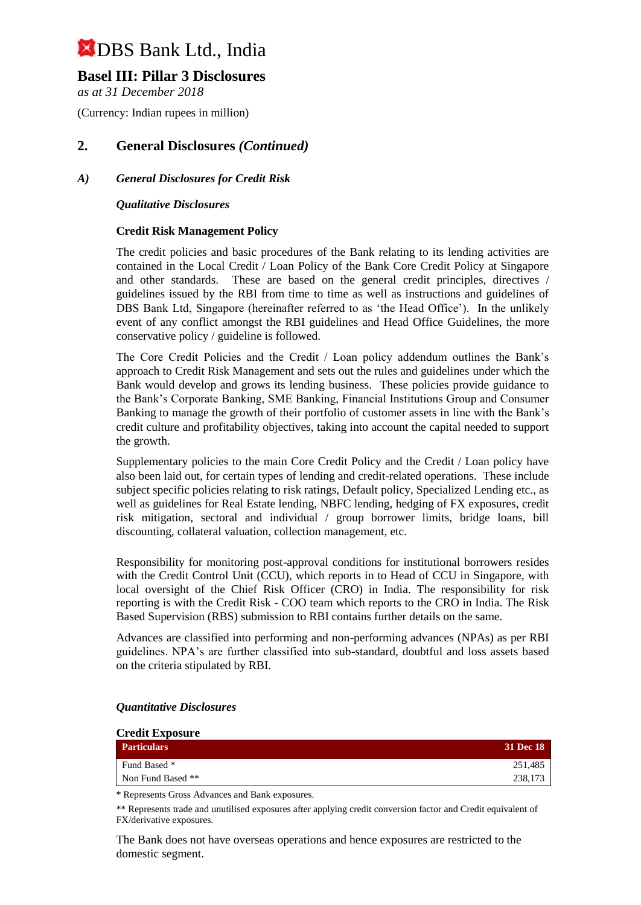### **Basel III: Pillar 3 Disclosures**

*as at 31 December 2018*

(Currency: Indian rupees in million)

### **2. General Disclosures** *(Continued)*

### *A) General Disclosures for Credit Risk*

#### *Qualitative Disclosures*

### **Credit Risk Management Policy**

The credit policies and basic procedures of the Bank relating to its lending activities are contained in the Local Credit / Loan Policy of the Bank Core Credit Policy at Singapore and other standards. These are based on the general credit principles, directives / guidelines issued by the RBI from time to time as well as instructions and guidelines of DBS Bank Ltd, Singapore (hereinafter referred to as 'the Head Office'). In the unlikely event of any conflict amongst the RBI guidelines and Head Office Guidelines, the more conservative policy / guideline is followed.

The Core Credit Policies and the Credit / Loan policy addendum outlines the Bank's approach to Credit Risk Management and sets out the rules and guidelines under which the Bank would develop and grows its lending business. These policies provide guidance to the Bank's Corporate Banking, SME Banking, Financial Institutions Group and Consumer Banking to manage the growth of their portfolio of customer assets in line with the Bank's credit culture and profitability objectives, taking into account the capital needed to support the growth.

Supplementary policies to the main Core Credit Policy and the Credit / Loan policy have also been laid out, for certain types of lending and credit-related operations. These include subject specific policies relating to risk ratings, Default policy, Specialized Lending etc., as well as guidelines for Real Estate lending, NBFC lending, hedging of FX exposures, credit risk mitigation, sectoral and individual / group borrower limits, bridge loans, bill discounting, collateral valuation, collection management, etc.

Responsibility for monitoring post-approval conditions for institutional borrowers resides with the Credit Control Unit (CCU), which reports in to Head of CCU in Singapore, with local oversight of the Chief Risk Officer (CRO) in India. The responsibility for risk reporting is with the Credit Risk - COO team which reports to the CRO in India. The Risk Based Supervision (RBS) submission to RBI contains further details on the same.

Advances are classified into performing and non-performing advances (NPAs) as per RBI guidelines. NPA's are further classified into sub-standard, doubtful and loss assets based on the criteria stipulated by RBI.

| <b>Credit Exposure</b> |           |
|------------------------|-----------|
| <b>Particulars</b>     | 31 Dec 18 |
| Fund Based *           | 251,485   |
| Non Fund Based **      | 238,173   |

#### *Quantitative Disclosures*

\* Represents Gross Advances and Bank exposures.

\*\* Represents trade and unutilised exposures after applying credit conversion factor and Credit equivalent of FX/derivative exposures.

The Bank does not have overseas operations and hence exposures are restricted to the domestic segment.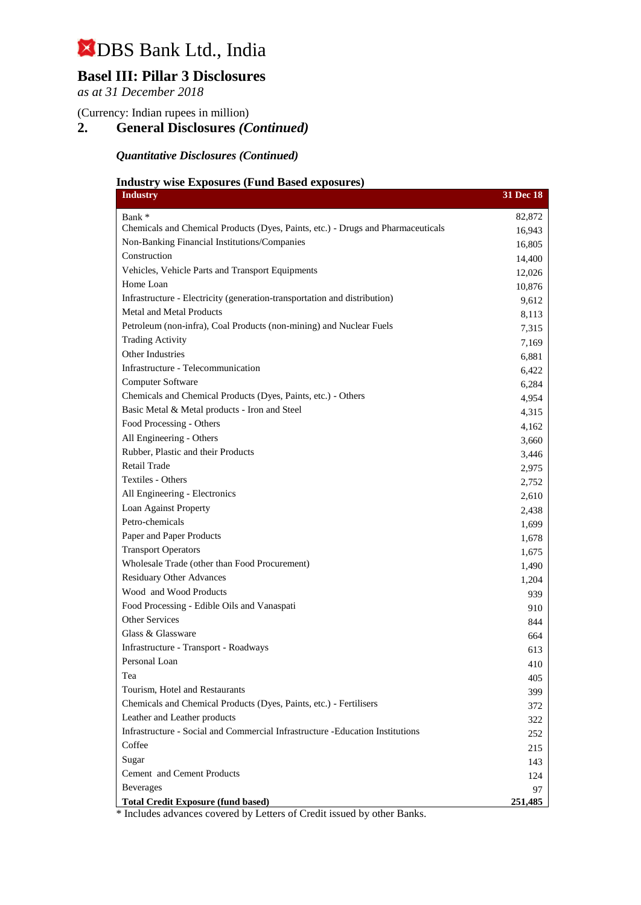# **Basel III: Pillar 3 Disclosures**

*as at 31 December 2018*

(Currency: Indian rupees in million)

## **2. General Disclosures** *(Continued)*

### *Quantitative Disclosures (Continued)*

### **Industry wise Exposures (Fund Based exposures)**

| <b>Industry</b>                                                                          | 31 Dec 18 |
|------------------------------------------------------------------------------------------|-----------|
| Bank *                                                                                   | 82,872    |
| Chemicals and Chemical Products (Dyes, Paints, etc.) - Drugs and Pharmaceuticals         | 16,943    |
| Non-Banking Financial Institutions/Companies                                             | 16,805    |
| Construction                                                                             | 14,400    |
| Vehicles, Vehicle Parts and Transport Equipments                                         | 12,026    |
| Home Loan                                                                                | 10,876    |
| Infrastructure - Electricity (generation-transportation and distribution)                | 9,612     |
| <b>Metal and Metal Products</b>                                                          | 8,113     |
| Petroleum (non-infra), Coal Products (non-mining) and Nuclear Fuels                      | 7,315     |
| <b>Trading Activity</b>                                                                  | 7,169     |
| Other Industries                                                                         | 6,881     |
| Infrastructure - Telecommunication                                                       | 6,422     |
| Computer Software                                                                        | 6,284     |
| Chemicals and Chemical Products (Dyes, Paints, etc.) - Others                            | 4,954     |
| Basic Metal & Metal products - Iron and Steel                                            | 4,315     |
| Food Processing - Others                                                                 | 4,162     |
| All Engineering - Others                                                                 | 3,660     |
| Rubber, Plastic and their Products                                                       | 3,446     |
| <b>Retail Trade</b>                                                                      | 2,975     |
| Textiles - Others                                                                        | 2,752     |
| All Engineering - Electronics                                                            | 2,610     |
| Loan Against Property                                                                    | 2,438     |
| Petro-chemicals                                                                          | 1,699     |
| Paper and Paper Products                                                                 | 1,678     |
| <b>Transport Operators</b>                                                               | 1,675     |
| Wholesale Trade (other than Food Procurement)                                            | 1,490     |
| <b>Residuary Other Advances</b>                                                          | 1,204     |
| Wood and Wood Products                                                                   | 939       |
| Food Processing - Edible Oils and Vanaspati                                              | 910       |
| <b>Other Services</b>                                                                    | 844       |
| Glass & Glassware                                                                        | 664       |
| Infrastructure - Transport - Roadways                                                    | 613       |
| Personal Loan                                                                            | 410       |
| Tea                                                                                      | 405       |
| Tourism, Hotel and Restaurants                                                           | 399       |
| Chemicals and Chemical Products (Dyes, Paints, etc.) - Fertilisers                       | 372       |
| Leather and Leather products                                                             | 322       |
| Infrastructure - Social and Commercial Infrastructure - Education Institutions           | 252       |
| Coffee                                                                                   | 215       |
| Sugar                                                                                    | 143       |
| Cement and Cement Products                                                               | 124       |
| <b>Beverages</b>                                                                         | 97        |
| <b>Total Credit Exposure (fund based)</b><br>by Lattons of Cooditions of by other Donles | 251,485   |

Includes advances covered by Letters of Credit issued by other Banks.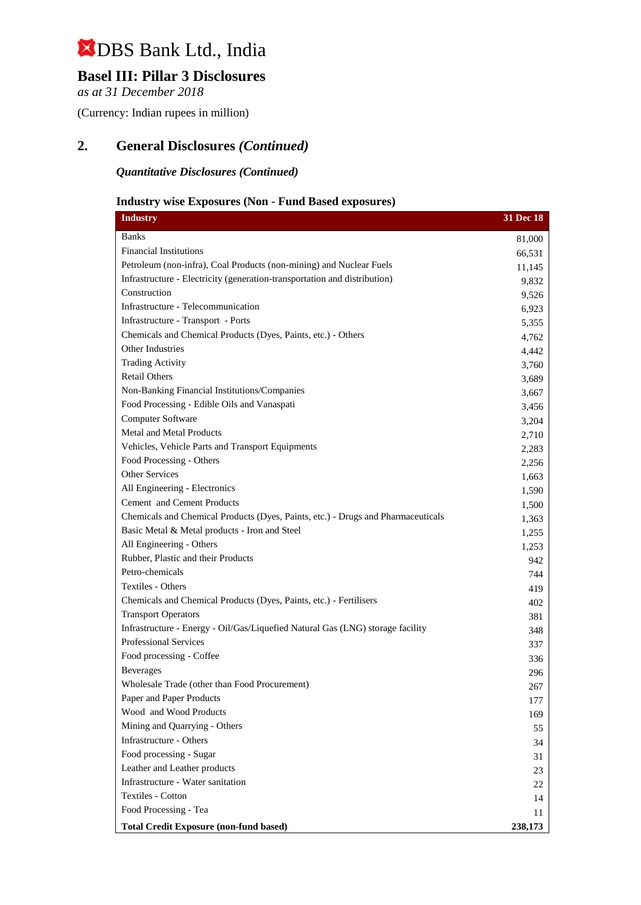## **Basel III: Pillar 3 Disclosures**

*as at 31 December 2018*

(Currency: Indian rupees in million)

### **2. General Disclosures** *(Continued)*

*Quantitative Disclosures (Continued)*

### **Industry wise Exposures (Non - Fund Based exposures)**

| <b>Industry</b>                                                                  | 31 Dec 18 |
|----------------------------------------------------------------------------------|-----------|
| Banks                                                                            | 81,000    |
| <b>Financial Institutions</b>                                                    | 66,531    |
| Petroleum (non-infra), Coal Products (non-mining) and Nuclear Fuels              | 11,145    |
| Infrastructure - Electricity (generation-transportation and distribution)        | 9,832     |
| Construction                                                                     | 9,526     |
| Infrastructure - Telecommunication                                               | 6,923     |
| Infrastructure - Transport - Ports                                               | 5,355     |
| Chemicals and Chemical Products (Dyes, Paints, etc.) - Others                    | 4,762     |
| Other Industries                                                                 | 4,442     |
| <b>Trading Activity</b>                                                          | 3,760     |
| <b>Retail Others</b>                                                             | 3,689     |
| Non-Banking Financial Institutions/Companies                                     | 3,667     |
| Food Processing - Edible Oils and Vanaspati                                      | 3,456     |
| Computer Software                                                                | 3,204     |
| <b>Metal and Metal Products</b>                                                  | 2,710     |
| Vehicles, Vehicle Parts and Transport Equipments                                 | 2,283     |
| Food Processing - Others                                                         | 2,256     |
| Other Services                                                                   | 1,663     |
| All Engineering - Electronics                                                    | 1,590     |
| Cement and Cement Products                                                       | 1,500     |
| Chemicals and Chemical Products (Dyes, Paints, etc.) - Drugs and Pharmaceuticals | 1,363     |
| Basic Metal & Metal products - Iron and Steel                                    | 1,255     |
| All Engineering - Others                                                         | 1,253     |
| Rubber, Plastic and their Products                                               | 942       |
| Petro-chemicals                                                                  | 744       |
| Textiles - Others                                                                | 419       |
| Chemicals and Chemical Products (Dyes, Paints, etc.) - Fertilisers               | 402       |
| <b>Transport Operators</b>                                                       | 381       |
| Infrastructure - Energy - Oil/Gas/Liquefied Natural Gas (LNG) storage facility   | 348       |
| <b>Professional Services</b>                                                     | 337       |
| Food processing - Coffee                                                         | 336       |
| <b>Beverages</b>                                                                 | 296       |
| Wholesale Trade (other than Food Procurement)                                    | 267       |
| Paper and Paper Products                                                         | 177       |
| Wood and Wood Products                                                           | 169       |
| Mining and Quarrying - Others                                                    | 55        |
| Infrastructure - Others                                                          | 34        |
| Food processing - Sugar                                                          | 31        |
| Leather and Leather products                                                     | 23        |
| Infrastructure - Water sanitation                                                | 22        |
| Textiles - Cotton                                                                | 14        |
| Food Processing - Tea                                                            | 11        |
| <b>Total Credit Exposure (non-fund based)</b>                                    | 238,173   |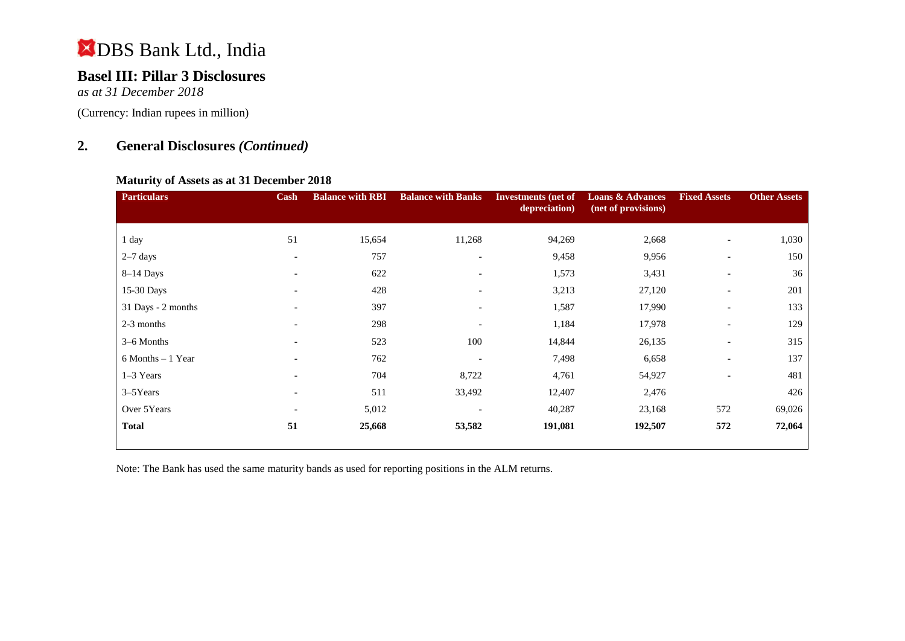## **Basel III: Pillar 3 Disclosures**

*as at 31 December 2018*

(Currency: Indian rupees in million)

### **2. General Disclosures** *(Continued)*

#### **Maturity of Assets as at 31 December 2018**

| <b>Particulars</b> | Cash                     | <b>Balance with RBI</b> | <b>Balance with Banks</b> | <b>Investments (net of</b><br>depreciation) | <b>Loans &amp; Advances</b><br>(net of provisions) | <b>Fixed Assets</b>      | <b>Other Assets</b> |
|--------------------|--------------------------|-------------------------|---------------------------|---------------------------------------------|----------------------------------------------------|--------------------------|---------------------|
| 1 day              | 51                       | 15,654                  | 11,268                    | 94,269                                      | 2,668                                              | $\overline{\phantom{a}}$ | 1,030               |
| $2-7$ days         | $\overline{\phantom{a}}$ | 757                     | $\overline{\phantom{a}}$  | 9,458                                       | 9,956                                              | $\overline{\phantom{a}}$ | 150                 |
|                    |                          |                         |                           |                                             |                                                    |                          |                     |
| $8-14$ Days        | $\overline{\phantom{a}}$ | 622                     | $\overline{\phantom{a}}$  | 1,573                                       | 3,431                                              | $\overline{\phantom{a}}$ | 36                  |
| 15-30 Days         | $\overline{\phantom{0}}$ | 428                     | $\overline{\phantom{0}}$  | 3,213                                       | 27,120                                             | $\overline{\phantom{a}}$ | 201                 |
| 31 Days - 2 months | $\overline{\phantom{a}}$ | 397                     | $\overline{\phantom{a}}$  | 1,587                                       | 17,990                                             | $\overline{\phantom{a}}$ | 133                 |
| 2-3 months         |                          | 298                     |                           | 1,184                                       | 17,978                                             | $\overline{\phantom{a}}$ | 129                 |
| 3–6 Months         | $\overline{\phantom{a}}$ | 523                     | 100                       | 14,844                                      | 26,135                                             | $\overline{\phantom{a}}$ | 315                 |
| 6 Months - 1 Year  |                          | 762                     |                           | 7,498                                       | 6,658                                              | $\overline{\phantom{a}}$ | 137                 |
| $1-3$ Years        | $\overline{\phantom{a}}$ | 704                     | 8,722                     | 4,761                                       | 54,927                                             | $\overline{\phantom{a}}$ | 481                 |
| $3-5$ Years        | $\overline{\phantom{a}}$ | 511                     | 33,492                    | 12,407                                      | 2,476                                              |                          | 426                 |
| Over 5Years        | $\overline{\phantom{a}}$ | 5,012                   |                           | 40,287                                      | 23,168                                             | 572                      | 69,026              |
| <b>Total</b>       | 51                       | 25,668                  | 53,582                    | 191,081                                     | 192,507                                            | 572                      | 72,064              |

Note: The Bank has used the same maturity bands as used for reporting positions in the ALM returns.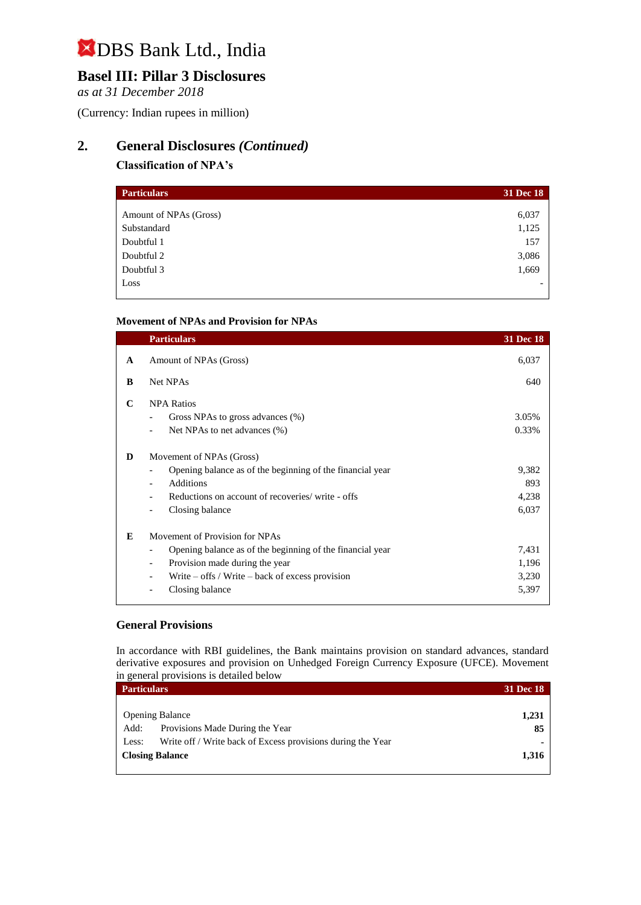# **Basel III: Pillar 3 Disclosures**

*as at 31 December 2018*

(Currency: Indian rupees in million)

## **2. General Disclosures** *(Continued)*

### **Classification of NPA's**

| <b>Particulars</b>     | 31 Dec 18 |
|------------------------|-----------|
|                        |           |
| Amount of NPAs (Gross) | 6,037     |
| Substandard            | 1,125     |
| Doubtful 1             | 157       |
| Doubtful 2             | 3,086     |
| Doubtful 3             | 1,669     |
| Loss                   |           |
|                        |           |

#### **Movement of NPAs and Provision for NPAs**

|   | <b>Particulars</b>                                                                                                                                                                                                                                              | <b>31 Dec 18</b>                 |
|---|-----------------------------------------------------------------------------------------------------------------------------------------------------------------------------------------------------------------------------------------------------------------|----------------------------------|
| A | Amount of NPAs (Gross)                                                                                                                                                                                                                                          | 6,037                            |
| B | Net NPAs                                                                                                                                                                                                                                                        | 640                              |
| C | <b>NPA Ratios</b><br>Gross NPAs to gross advances (%)<br>Net NPAs to net advances (%)                                                                                                                                                                           | 3.05%<br>0.33%                   |
| D | Movement of NPAs (Gross)<br>Opening balance as of the beginning of the financial year<br><b>Additions</b><br>$\overline{\phantom{a}}$<br>Reductions on account of recoveries/write - offs<br>Closing balance<br>$\overline{\phantom{a}}$                        | 9,382<br>893<br>4,238<br>6,037   |
| E | Movement of Provision for NPAs<br>Opening balance as of the beginning of the financial year<br>$\overline{\phantom{a}}$<br>Provision made during the year<br>$\overline{\phantom{a}}$<br>Write $-$ offs / Write $-$ back of excess provision<br>Closing balance | 7,431<br>1,196<br>3,230<br>5,397 |

#### **General Provisions**

In accordance with RBI guidelines, the Bank maintains provision on standard advances, standard derivative exposures and provision on Unhedged Foreign Currency Exposure (UFCE). Movement in general provisions is detailed below

| <b>Particulars</b> |                                                             | <b>31 Dec 18</b> |
|--------------------|-------------------------------------------------------------|------------------|
|                    |                                                             |                  |
|                    | <b>Opening Balance</b>                                      | 1,231            |
| Add:               | Provisions Made During the Year                             | 85               |
| Less:              | Write off / Write back of Excess provisions during the Year |                  |
|                    | <b>Closing Balance</b>                                      | 1,316            |
|                    |                                                             |                  |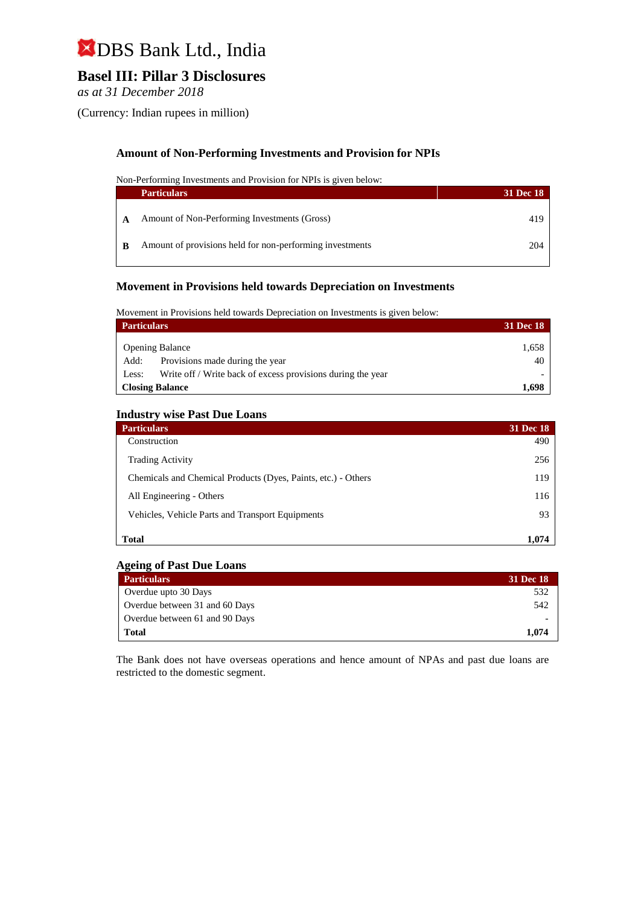## **Basel III: Pillar 3 Disclosures**

*as at 31 December 2018*

(Currency: Indian rupees in million)

### **Amount of Non-Performing Investments and Provision for NPIs**

Non-Performing Investments and Provision for NPIs is given below:

|     | <b>Particulars</b>                                       | <b>31 Dec 18</b> |
|-----|----------------------------------------------------------|------------------|
|     | Amount of Non-Performing Investments (Gross)             | 419              |
| - B | Amount of provisions held for non-performing investments | 204              |

#### **Movement in Provisions held towards Depreciation on Investments**

Movement in Provisions held towards Depreciation on Investments is given below:

| <b>Particulars</b>                                                   | <b>31 Dec 18</b> |
|----------------------------------------------------------------------|------------------|
| <b>Opening Balance</b>                                               | 1,658            |
| Provisions made during the year<br>Add:                              | 40               |
| Write off / Write back of excess provisions during the year<br>Less: |                  |
| <b>Closing Balance</b>                                               | 1,698            |

#### **Industry wise Past Due Loans**

| <b>Particulars</b>                                            | <b>31 Dec 18</b> |
|---------------------------------------------------------------|------------------|
| Construction                                                  | 490              |
| <b>Trading Activity</b>                                       | 256              |
| Chemicals and Chemical Products (Dyes, Paints, etc.) - Others | 119              |
| All Engineering - Others                                      | 116              |
| Vehicles, Vehicle Parts and Transport Equipments              | 93               |
| <b>Total</b>                                                  | 1.074            |

#### **Ageing of Past Due Loans**

| <b>Particulars</b>             | <b>31 Dec 18</b> |
|--------------------------------|------------------|
| Overdue upto 30 Days           | 532              |
| Overdue between 31 and 60 Days | 542              |
| Overdue between 61 and 90 Days |                  |
| <b>Total</b>                   | 1.074            |

The Bank does not have overseas operations and hence amount of NPAs and past due loans are restricted to the domestic segment.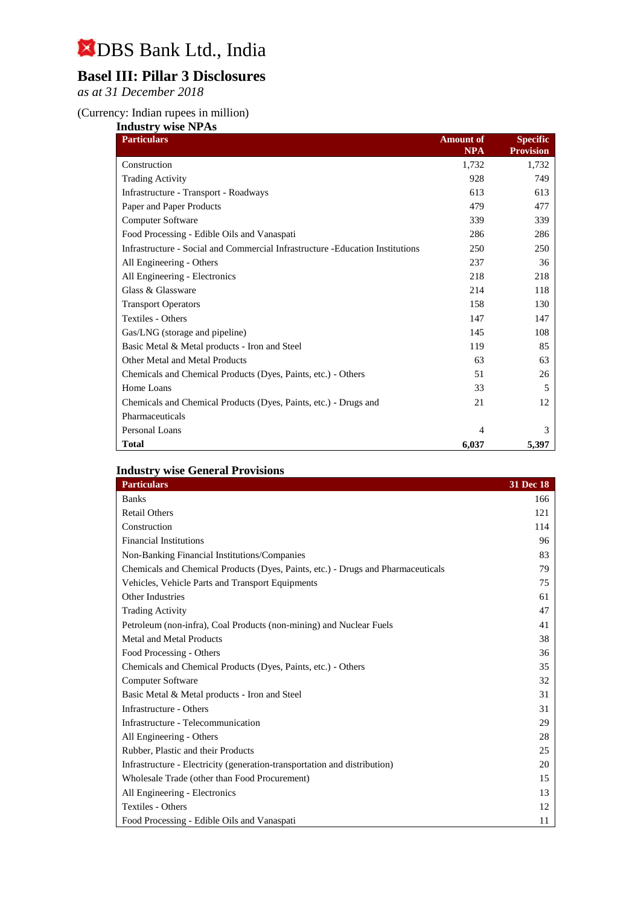# **Basel III: Pillar 3 Disclosures**

*as at 31 December 2018*

#### (Currency: Indian rupees in million)

| <b>Industry wise NPAs</b>                                                     |                  |                  |
|-------------------------------------------------------------------------------|------------------|------------------|
| <b>Particulars</b>                                                            | <b>Amount of</b> | <b>Specific</b>  |
|                                                                               | <b>NPA</b>       | <b>Provision</b> |
| Construction                                                                  | 1,732            | 1,732            |
| <b>Trading Activity</b>                                                       | 928              | 749              |
| Infrastructure - Transport - Roadways                                         | 613              | 613              |
| Paper and Paper Products                                                      | 479              | 477              |
| Computer Software                                                             | 339              | 339              |
| Food Processing - Edible Oils and Vanaspati                                   | 286              | 286              |
| Infrastructure - Social and Commercial Infrastructure -Education Institutions | 250              | 250              |
| All Engineering - Others                                                      | 237              | 36               |
| All Engineering - Electronics                                                 | 218              | 218              |
| Glass & Glassware                                                             | 214              | 118              |
| <b>Transport Operators</b>                                                    | 158              | 130              |
| Textiles - Others                                                             | 147              | 147              |
| Gas/LNG (storage and pipeline)                                                | 145              | 108              |
| Basic Metal & Metal products - Iron and Steel                                 | 119              | 85               |
| Other Metal and Metal Products                                                | 63               | 63               |
| Chemicals and Chemical Products (Dyes, Paints, etc.) - Others                 | 51               | 26               |
| Home Loans                                                                    | 33               | 5                |
| Chemicals and Chemical Products (Dyes, Paints, etc.) - Drugs and              | 21               | 12               |
| Pharmaceuticals                                                               |                  |                  |
| Personal Loans                                                                | 4                | 3                |
| <b>Total</b>                                                                  | 6,037            | 5,397            |

### **Industry wise General Provisions**

| <b>Particulars</b>                                                               | 31 Dec 18 |
|----------------------------------------------------------------------------------|-----------|
| <b>Banks</b>                                                                     | 166       |
| <b>Retail Others</b>                                                             | 121       |
| Construction                                                                     | 114       |
| <b>Financial Institutions</b>                                                    | 96        |
| Non-Banking Financial Institutions/Companies                                     | 83        |
| Chemicals and Chemical Products (Dyes, Paints, etc.) - Drugs and Pharmaceuticals | 79        |
| Vehicles, Vehicle Parts and Transport Equipments                                 | 75        |
| Other Industries                                                                 | 61        |
| <b>Trading Activity</b>                                                          | 47        |
| Petroleum (non-infra), Coal Products (non-mining) and Nuclear Fuels              | 41        |
| <b>Metal and Metal Products</b>                                                  | 38        |
| Food Processing - Others                                                         | 36        |
| Chemicals and Chemical Products (Dyes, Paints, etc.) - Others                    | 35        |
| <b>Computer Software</b>                                                         | 32        |
| Basic Metal & Metal products - Iron and Steel                                    | 31        |
| Infrastructure - Others                                                          | 31        |
| Infrastructure - Telecommunication                                               | 29        |
| All Engineering - Others                                                         | 28        |
| Rubber, Plastic and their Products                                               | 25        |
| Infrastructure - Electricity (generation-transportation and distribution)        | 20        |
| Wholesale Trade (other than Food Procurement)                                    | 15        |
| All Engineering - Electronics                                                    | 13        |
| Textiles - Others                                                                | 12        |
| Food Processing - Edible Oils and Vanaspati                                      | 11        |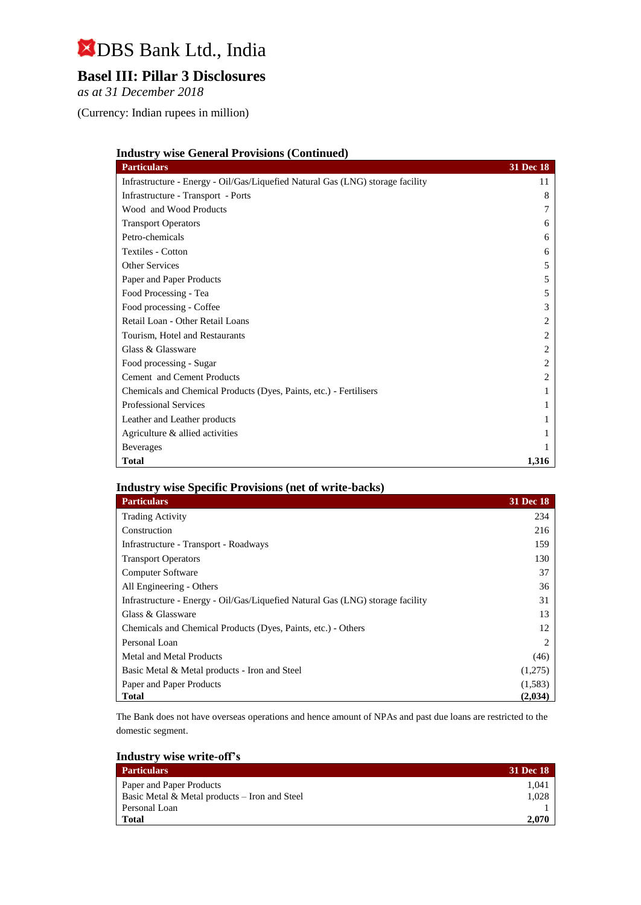# **Basel III: Pillar 3 Disclosures**

*as at 31 December 2018*

(Currency: Indian rupees in million)

| <b>Industry wise General Provisions (Continued)</b>                            |                  |
|--------------------------------------------------------------------------------|------------------|
| <b>Particulars</b>                                                             | <b>31 Dec 18</b> |
| Infrastructure - Energy - Oil/Gas/Liquefied Natural Gas (LNG) storage facility | 11               |
| Infrastructure - Transport - Ports                                             | 8                |
| Wood and Wood Products                                                         |                  |
| <b>Transport Operators</b>                                                     | 6                |
| Petro-chemicals                                                                | 6                |
| <b>Textiles - Cotton</b>                                                       | 6                |
| <b>Other Services</b>                                                          | 5                |
| Paper and Paper Products                                                       | 5                |
| Food Processing - Tea                                                          | 5                |
| Food processing - Coffee                                                       | 3                |
| Retail Loan - Other Retail Loans                                               | 2                |
| Tourism, Hotel and Restaurants                                                 | 2                |
| Glass & Glassware                                                              | 2                |
| Food processing - Sugar                                                        | 2                |
| Cement and Cement Products                                                     | 2                |
| Chemicals and Chemical Products (Dyes, Paints, etc.) - Fertilisers             |                  |
| <b>Professional Services</b>                                                   |                  |
| Leather and Leather products                                                   |                  |
| Agriculture & allied activities                                                |                  |
| <b>Beverages</b>                                                               |                  |
| <b>Total</b>                                                                   | 1,316            |

### **Industry wise Specific Provisions (net of write-backs)**

| <b>Particulars</b>                                                             | 31 Dec 18 |
|--------------------------------------------------------------------------------|-----------|
| <b>Trading Activity</b>                                                        | 234       |
| Construction                                                                   | 216       |
| Infrastructure - Transport - Roadways                                          | 159       |
| <b>Transport Operators</b>                                                     | 130       |
| Computer Software                                                              | 37        |
| All Engineering - Others                                                       | 36        |
| Infrastructure - Energy - Oil/Gas/Liquefied Natural Gas (LNG) storage facility | 31        |
| Glass & Glassware                                                              | 13        |
| Chemicals and Chemical Products (Dyes, Paints, etc.) - Others                  | 12        |
| Personal Loan                                                                  |           |
| Metal and Metal Products                                                       | (46)      |
| Basic Metal & Metal products - Iron and Steel                                  | (1,275)   |
| Paper and Paper Products                                                       | (1,583)   |
| <b>Total</b>                                                                   | (2,034)   |

The Bank does not have overseas operations and hence amount of NPAs and past due loans are restricted to the domestic segment.

| <b>Industry wise write-off's</b> |  |  |
|----------------------------------|--|--|
|                                  |  |  |

| <b>Particulars</b>                            | 31 Dec 18 |
|-----------------------------------------------|-----------|
| Paper and Paper Products                      | 1.041     |
| Basic Metal & Metal products – Iron and Steel | 1.028     |
| Personal Loan                                 |           |
| <b>Total</b>                                  | 2.070     |